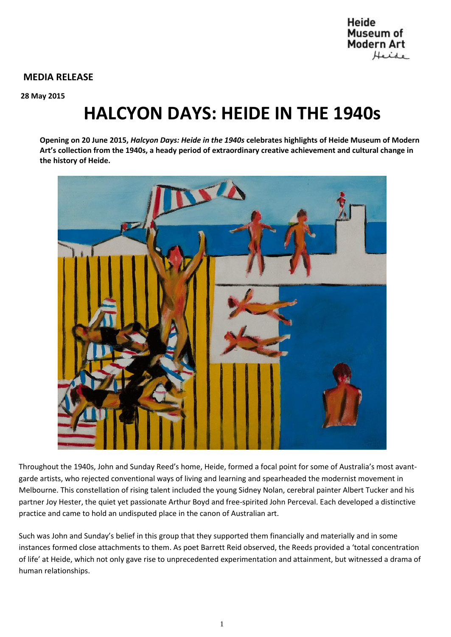## **MEDIA RELEASE**

**28 May 2015**

# **HALCYON DAYS: HEIDE IN THE 1940s**

**Opening on 20 June 2015,** *Halcyon Days: Heide in the 1940s* **celebrates highlights of Heide Museum of Modern Art's collection from the 1940s, a heady period of extraordinary creative achievement and cultural change in the history of Heide.** 



Throughout the 1940s, John and Sunday Reed's home, Heide, formed a focal point for some of Australia's most avantgarde artists, who rejected conventional ways of living and learning and spearheaded the modernist movement in Melbourne. This constellation of rising talent included the young Sidney Nolan, cerebral painter Albert Tucker and his partner Joy Hester, the quiet yet passionate Arthur Boyd and free-spirited John Perceval. Each developed a distinctive practice and came to hold an undisputed place in the canon of Australian art.

Such was John and Sunday's belief in this group that they supported them financially and materially and in some instances formed close attachments to them. As poet Barrett Reid observed, the Reeds provided a 'total concentration of life' at Heide, which not only gave rise to unprecedented experimentation and attainment, but witnessed a drama of human relationships.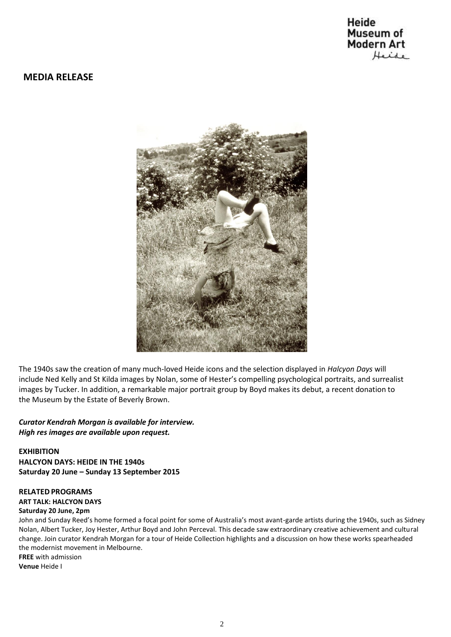# Heide Museum of **Modern Art** Heide

## **MEDIA RELEASE**



The 1940s saw the creation of many much-loved Heide icons and the selection displayed in *Halcyon Days* will include Ned Kelly and St Kilda images by Nolan, some of Hester's compelling psychological portraits, and surrealist images by Tucker. In addition, a remarkable major portrait group by Boyd makes its debut, a recent donation to the Museum by the Estate of Beverly Brown.

## *Curator Kendrah Morgan is available for interview. High res images are available upon request.*

**EXHIBITION HALCYON DAYS: HEIDE IN THE 1940s Saturday 20 June – Sunday 13 September 2015**

### **RELATEDPROGRAMS**

**ART TALK: HALCYON DAYS** 

#### **Saturday 20 June, 2pm**

John and Sunday Reed's home formed a focal point for some of Australia's most avant-garde artists during the 1940s, such as Sidney Nolan, Albert Tucker, Joy Hester, Arthur Boyd and John Perceval. This decade saw extraordinary creative achievement and cultural change. Join curator Kendrah Morgan for a tour of Heide Collection highlights and a discussion on how these works spearheaded the modernist movement in Melbourne. **FREE** with admission

**Venue** Heide I